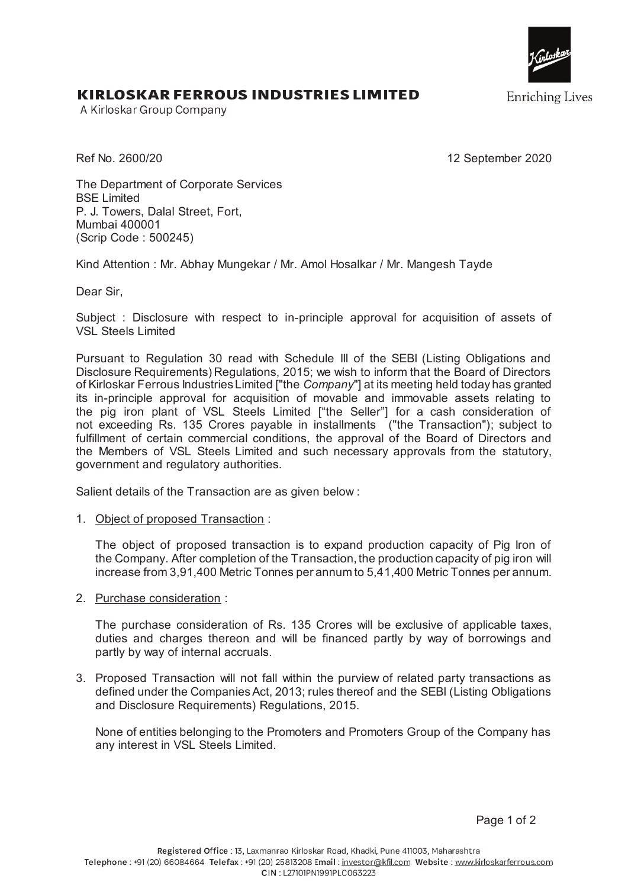

**Enriching Lives** 

## KIRLOSKAR FERROUS INDUSTRIES LIMITED

A Kirloskar Group Company

Ref No. 2600/20 12 September 2020

The Department of Corporate Services BSE Limited P. J. Towers, Dalal Street, Fort, Mumbai 400001 (Scrip Code : 500245)

Kind Attention : Mr. Abhay Mungekar / Mr. Amol Hosalkar / Mr. Mangesh Tayde

Dear Sir,

Subject : Disclosure with respect to in-principle approval for acquisition of assets of VSL Steels Limited

Pursuant to Regulation 30 read with Schedule III of the SEBI (Listing Obligations and Disclosure Requirements) Regulations, 2015; we wish to inform that the Board of Directors of Kirloskar Ferrous Industries Limited ["the *Company*"] at its meeting held today has granted its in-principle approval for acquisition of movable and immovable assets relating to the pig iron plant of VSL Steels Limited ["the Seller"] for a cash consideration of not exceeding Rs. 135 Crores payable in installments ("the Transaction"); subject to fulfillment of certain commercial conditions, the approval of the Board of Directors and the Members of VSL Steels Limited and such necessary approvals from the statutory, government and regulatory authorities.

Salient details of the Transaction are as given below :

1. Object of proposed Transaction :

The object of proposed transaction is to expand production capacity of Pig Iron of the Company. After completion of the Transaction, the production capacity of pig iron will increase from 3,91,400 Metric Tonnes per annum to 5,41,400 Metric Tonnes per annum.

2. Purchase consideration :

The purchase consideration of Rs. 135 Crores will be exclusive of applicable taxes, duties and charges thereon and will be financed partly by way of borrowings and partly by way of internal accruals.

3. Proposed Transaction will not fall within the purview of related party transactions as defined under the Companies Act, 2013; rules thereof and the SEBI (Listing Obligations and Disclosure Requirements) Regulations, 2015.

None of entities belonging to the Promoters and Promoters Group of the Company has any interest in VSL Steels Limited.

Page 1 of 2